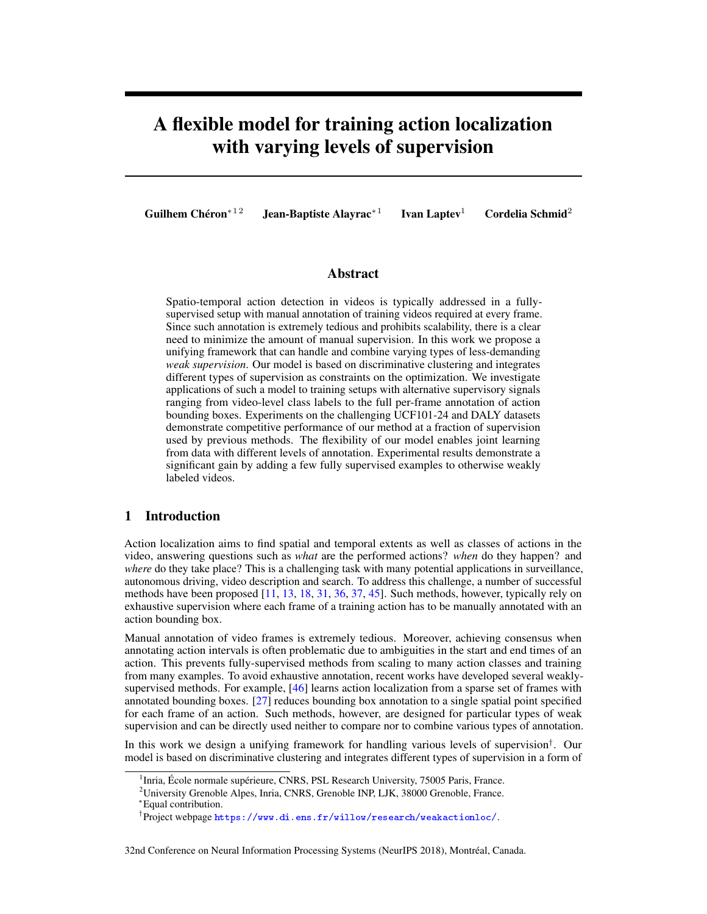# A flexible model for training action localization with varying levels of supervision

Guilhem Chéron<sup>∗12</sup> Jean-Baptiste Alayrac<sup>\*1</sup>

Ivan Laptev<sup>1</sup> Cordelia Schmid<sup>2</sup>

# Abstract

Spatio-temporal action detection in videos is typically addressed in a fullysupervised setup with manual annotation of training videos required at every frame. Since such annotation is extremely tedious and prohibits scalability, there is a clear need to minimize the amount of manual supervision. In this work we propose a unifying framework that can handle and combine varying types of less-demanding *weak supervision*. Our model is based on discriminative clustering and integrates different types of supervision as constraints on the optimization. We investigate applications of such a model to training setups with alternative supervisory signals ranging from video-level class labels to the full per-frame annotation of action bounding boxes. Experiments on the challenging UCF101-24 and DALY datasets demonstrate competitive performance of our method at a fraction of supervision used by previous methods. The flexibility of our model enables joint learning from data with different levels of annotation. Experimental results demonstrate a significant gain by adding a few fully supervised examples to otherwise weakly labeled videos.

# 1 Introduction

Action localization aims to find spatial and temporal extents as well as classes of actions in the video, answering questions such as *what* are the performed actions? *when* do they happen? and *where* do they take place? This is a challenging task with many potential applications in surveillance, autonomous driving, video description and search. To address this challenge, a number of successful methods have been proposed [11, 13, 18, 31, 36, 37, 45]. Such methods, however, typically rely on exhaustive supervision where each frame of a training action has to be manually annotated with an action bounding box.

Manual annotation of video frames is extremely tedious. Moreover, achieving consensus when annotating action intervals is often problematic due to ambiguities in the start and end times of an action. This prevents fully-supervised methods from scaling to many action classes and training from many examples. To avoid exhaustive annotation, recent works have developed several weaklysupervised methods. For example, [46] learns action localization from a sparse set of frames with annotated bounding boxes. [27] reduces bounding box annotation to a single spatial point specified for each frame of an action. Such methods, however, are designed for particular types of weak supervision and can be directly used neither to compare nor to combine various types of annotation.

In this work we design a unifying framework for handling various levels of supervision<sup>†</sup>. Our model is based on discriminative clustering and integrates different types of supervision in a form of

<sup>&</sup>lt;sup>1</sup> Inria, École normale supérieure, CNRS, PSL Research University, 75005 Paris, France.

<sup>&</sup>lt;sup>2</sup>University Grenoble Alpes, Inria, CNRS, Grenoble INP, LJK, 38000 Grenoble, France.

<sup>∗</sup>Equal contribution.

<sup>†</sup> Project webpage <https://www.di.ens.fr/willow/research/weakactionloc/>.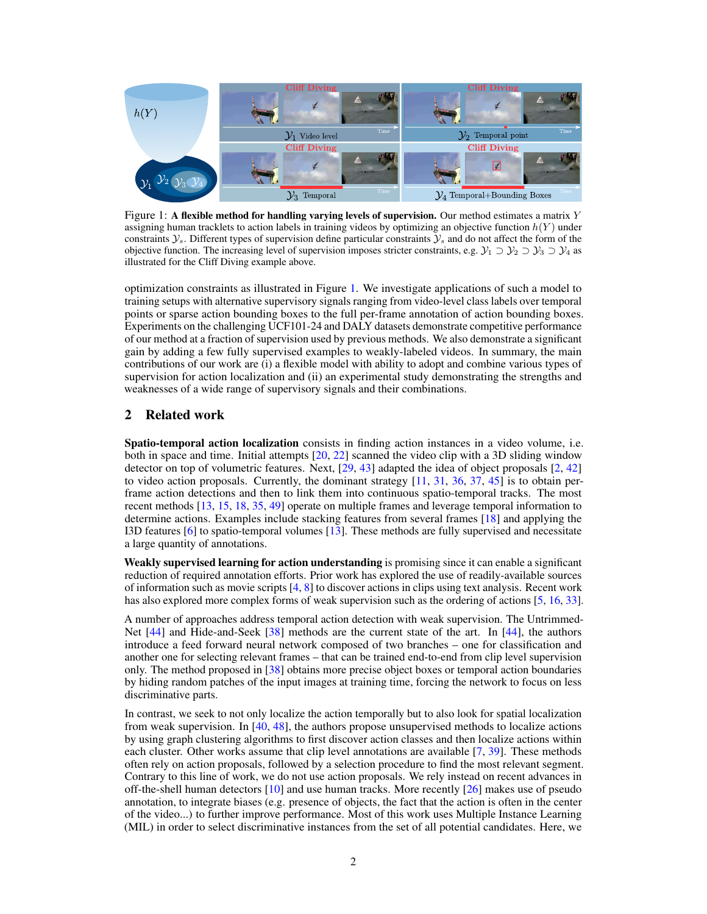

Figure 1: A flexible method for handling varying levels of supervision. Our method estimates a matrix  $Y$ assigning human tracklets to action labels in training videos by optimizing an objective function  $h(Y)$  under constraints  $\mathcal{Y}_s$ . Different types of supervision define particular constraints  $\mathcal{Y}_s$  and do not affect the form of the objective function. The increasing level of supervision imposes stricter constraints, e.g.  $\mathcal{Y}_1 \supset \mathcal{Y}_2 \supset \mathcal{Y}_3 \supset \mathcal{Y}_4$  as illustrated for the Cliff Diving example above.

optimization constraints as illustrated in Figure 1. We investigate applications of such a model to training setups with alternative supervisory signals ranging from video-level class labels over temporal points or sparse action bounding boxes to the full per-frame annotation of action bounding boxes. Experiments on the challenging UCF101-24 and DALY datasets demonstrate competitive performance of our method at a fraction of supervision used by previous methods. We also demonstrate a significant gain by adding a few fully supervised examples to weakly-labeled videos. In summary, the main contributions of our work are (i) a flexible model with ability to adopt and combine various types of supervision for action localization and (ii) an experimental study demonstrating the strengths and weaknesses of a wide range of supervisory signals and their combinations.

## 2 Related work

Spatio-temporal action localization consists in finding action instances in a video volume, i.e. both in space and time. Initial attempts [20, 22] scanned the video clip with a 3D sliding window detector on top of volumetric features. Next, [29, 43] adapted the idea of object proposals [2, 42] to video action proposals. Currently, the dominant strategy  $[11, 31, 36, 37, 45]$  is to obtain perframe action detections and then to link them into continuous spatio-temporal tracks. The most recent methods [13, 15, 18, 35, 49] operate on multiple frames and leverage temporal information to determine actions. Examples include stacking features from several frames [18] and applying the I3D features [6] to spatio-temporal volumes [13]. These methods are fully supervised and necessitate a large quantity of annotations.

Weakly supervised learning for action understanding is promising since it can enable a significant reduction of required annotation efforts. Prior work has explored the use of readily-available sources of information such as movie scripts [4, 8] to discover actions in clips using text analysis. Recent work has also explored more complex forms of weak supervision such as the ordering of actions [5, 16, 33].

A number of approaches address temporal action detection with weak supervision. The Untrimmed-Net [44] and Hide-and-Seek [38] methods are the current state of the art. In [44], the authors introduce a feed forward neural network composed of two branches – one for classification and another one for selecting relevant frames – that can be trained end-to-end from clip level supervision only. The method proposed in [38] obtains more precise object boxes or temporal action boundaries by hiding random patches of the input images at training time, forcing the network to focus on less discriminative parts.

In contrast, we seek to not only localize the action temporally but to also look for spatial localization from weak supervision. In [40, 48], the authors propose unsupervised methods to localize actions by using graph clustering algorithms to first discover action classes and then localize actions within each cluster. Other works assume that clip level annotations are available [7, 39]. These methods often rely on action proposals, followed by a selection procedure to find the most relevant segment. Contrary to this line of work, we do not use action proposals. We rely instead on recent advances in off-the-shell human detectors [10] and use human tracks. More recently [26] makes use of pseudo annotation, to integrate biases (e.g. presence of objects, the fact that the action is often in the center of the video...) to further improve performance. Most of this work uses Multiple Instance Learning (MIL) in order to select discriminative instances from the set of all potential candidates. Here, we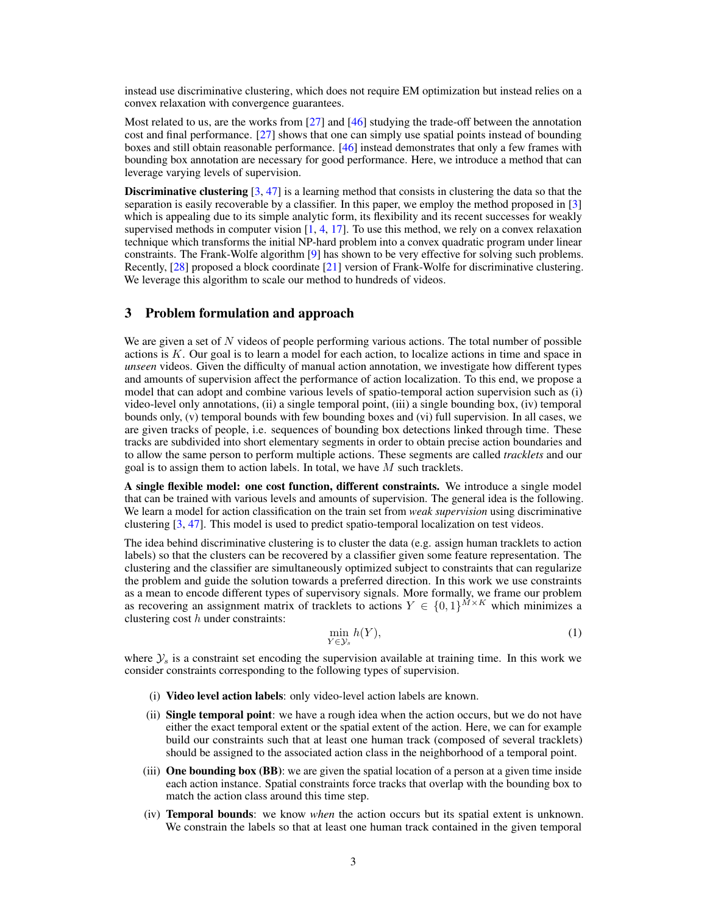instead use discriminative clustering, which does not require EM optimization but instead relies on a convex relaxation with convergence guarantees.

Most related to us, are the works from  $[27]$  and  $[46]$  studying the trade-off between the annotation cost and final performance. [27] shows that one can simply use spatial points instead of bounding boxes and still obtain reasonable performance. [46] instead demonstrates that only a few frames with bounding box annotation are necessary for good performance. Here, we introduce a method that can leverage varying levels of supervision.

**Discriminative clustering**  $[3, 47]$  is a learning method that consists in clustering the data so that the separation is easily recoverable by a classifier. In this paper, we employ the method proposed in [3] which is appealing due to its simple analytic form, its flexibility and its recent successes for weakly supervised methods in computer vision  $[1, 4, 17]$ . To use this method, we rely on a convex relaxation technique which transforms the initial NP-hard problem into a convex quadratic program under linear constraints. The Frank-Wolfe algorithm [9] has shown to be very effective for solving such problems. Recently, [28] proposed a block coordinate [21] version of Frank-Wolfe for discriminative clustering. We leverage this algorithm to scale our method to hundreds of videos.

## 3 Problem formulation and approach

We are given a set of  $N$  videos of people performing various actions. The total number of possible actions is  $K$ . Our goal is to learn a model for each action, to localize actions in time and space in *unseen* videos. Given the difficulty of manual action annotation, we investigate how different types and amounts of supervision affect the performance of action localization. To this end, we propose a model that can adopt and combine various levels of spatio-temporal action supervision such as (i) video-level only annotations, (ii) a single temporal point, (iii) a single bounding box, (iv) temporal bounds only, (v) temporal bounds with few bounding boxes and (vi) full supervision. In all cases, we are given tracks of people, i.e. sequences of bounding box detections linked through time. These tracks are subdivided into short elementary segments in order to obtain precise action boundaries and to allow the same person to perform multiple actions. These segments are called *tracklets* and our goal is to assign them to action labels. In total, we have  $M$  such tracklets.

A single flexible model: one cost function, different constraints. We introduce a single model that can be trained with various levels and amounts of supervision. The general idea is the following. We learn a model for action classification on the train set from *weak supervision* using discriminative clustering [3, 47]. This model is used to predict spatio-temporal localization on test videos.

The idea behind discriminative clustering is to cluster the data (e.g. assign human tracklets to action labels) so that the clusters can be recovered by a classifier given some feature representation. The clustering and the classifier are simultaneously optimized subject to constraints that can regularize the problem and guide the solution towards a preferred direction. In this work we use constraints as a mean to encode different types of supervisory signals. More formally, we frame our problem as recovering an assignment matrix of tracklets to actions  $Y \in \{0,1\}^{M \times K}$  which minimizes a clustering cost  $h$  under constraints:

$$
\min_{Y \in \mathcal{Y}_s} h(Y),\tag{1}
$$

where  $\mathcal{Y}_s$  is a constraint set encoding the supervision available at training time. In this work we consider constraints corresponding to the following types of supervision.

- (i) Video level action labels: only video-level action labels are known.
- (ii) Single temporal point: we have a rough idea when the action occurs, but we do not have either the exact temporal extent or the spatial extent of the action. Here, we can for example build our constraints such that at least one human track (composed of several tracklets) should be assigned to the associated action class in the neighborhood of a temporal point.
- (iii) **One bounding box (BB)**: we are given the spatial location of a person at a given time inside each action instance. Spatial constraints force tracks that overlap with the bounding box to match the action class around this time step.
- (iv) Temporal bounds: we know *when* the action occurs but its spatial extent is unknown. We constrain the labels so that at least one human track contained in the given temporal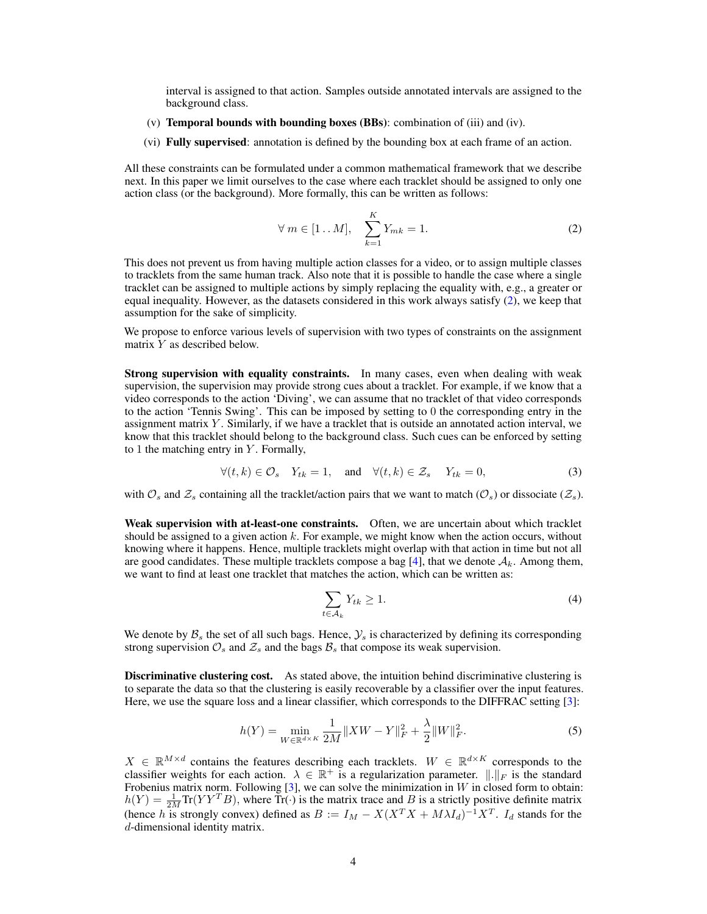interval is assigned to that action. Samples outside annotated intervals are assigned to the background class.

- (v) Temporal bounds with bounding boxes (BBs): combination of (iii) and (iv).
- (vi) Fully supervised: annotation is defined by the bounding box at each frame of an action.

All these constraints can be formulated under a common mathematical framework that we describe next. In this paper we limit ourselves to the case where each tracklet should be assigned to only one action class (or the background). More formally, this can be written as follows:

$$
\forall m \in [1...M], \quad \sum_{k=1}^{K} Y_{mk} = 1. \tag{2}
$$

This does not prevent us from having multiple action classes for a video, or to assign multiple classes to tracklets from the same human track. Also note that it is possible to handle the case where a single tracklet can be assigned to multiple actions by simply replacing the equality with, e.g., a greater or equal inequality. However, as the datasets considered in this work always satisfy (2), we keep that assumption for the sake of simplicity.

We propose to enforce various levels of supervision with two types of constraints on the assignment matrix Y as described below.

Strong supervision with equality constraints. In many cases, even when dealing with weak supervision, the supervision may provide strong cues about a tracklet. For example, if we know that a video corresponds to the action 'Diving', we can assume that no tracklet of that video corresponds to the action 'Tennis Swing'. This can be imposed by setting to 0 the corresponding entry in the assignment matrix  $Y$ . Similarly, if we have a tracklet that is outside an annotated action interval, we know that this tracklet should belong to the background class. Such cues can be enforced by setting to 1 the matching entry in  $Y$ . Formally,

$$
\forall (t,k) \in \mathcal{O}_s \quad Y_{tk} = 1, \quad \text{and} \quad \forall (t,k) \in \mathcal{Z}_s \quad Y_{tk} = 0,
$$
\n
$$
(3)
$$

with  $\mathcal{O}_s$  and  $\mathcal{Z}_s$  containing all the tracklet/action pairs that we want to match  $(\mathcal{O}_s)$  or dissociate  $(\mathcal{Z}_s)$ .

Weak supervision with at-least-one constraints. Often, we are uncertain about which tracklet should be assigned to a given action  $k$ . For example, we might know when the action occurs, without knowing where it happens. Hence, multiple tracklets might overlap with that action in time but not all are good candidates. These multiple tracklets compose a bag [4], that we denote  $A_k$ . Among them, we want to find at least one tracklet that matches the action, which can be written as:

$$
\sum_{t \in \mathcal{A}_k} Y_{tk} \ge 1. \tag{4}
$$

We denote by  $\mathcal{B}_s$  the set of all such bags. Hence,  $\mathcal{Y}_s$  is characterized by defining its corresponding strong supervision  $\mathcal{O}_s$  and  $\mathcal{Z}_s$  and the bags  $\mathcal{B}_s$  that compose its weak supervision.

Discriminative clustering cost. As stated above, the intuition behind discriminative clustering is to separate the data so that the clustering is easily recoverable by a classifier over the input features. Here, we use the square loss and a linear classifier, which corresponds to the DIFFRAC setting [3]:

$$
h(Y) = \min_{W \in \mathbb{R}^{d \times K}} \frac{1}{2M} \|XW - Y\|_F^2 + \frac{\lambda}{2} \|W\|_F^2.
$$
 (5)

 $X \in \mathbb{R}^{M \times d}$  contains the features describing each tracklets.  $W \in \mathbb{R}^{d \times K}$  corresponds to the classifier weights for each action.  $\lambda \in \mathbb{R}^+$  is a regularization parameter.  $\|.\|_F$  is the standard Frobenius matrix norm. Following  $[3]$ , we can solve the minimization in W in closed form to obtain:  $h(Y) = \frac{1}{2M} \text{Tr}(YY^T B)$ , where  $\text{Tr}(\cdot)$  is the matrix trace and B is a strictly positive definite matrix (hence h is strongly convex) defined as  $B := I_M - X(X^T X + M\lambda I_d)^{-1} X^T$ .  $I_d$  stands for the d-dimensional identity matrix.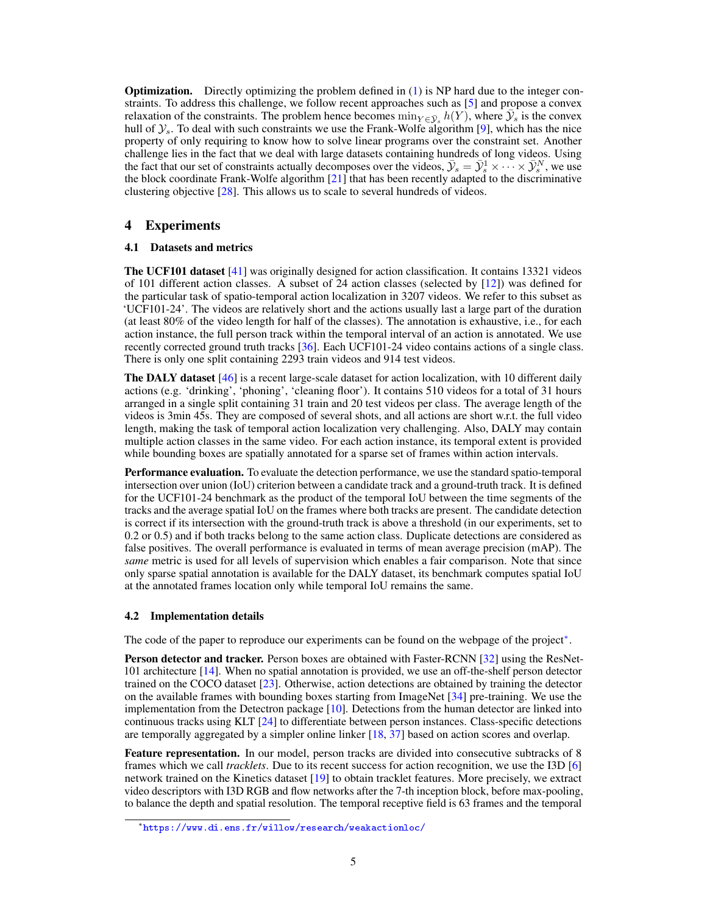**Optimization.** Directly optimizing the problem defined in  $(1)$  is NP hard due to the integer constraints. To address this challenge, we follow recent approaches such as [5] and propose a convex relaxation of the constraints. The problem hence becomes  $\min_{Y \in \bar{Y}_s} h(Y)$ , where  $\bar{Y}_s$  is the convex hull of  $\mathcal{Y}_s$ . To deal with such constraints we use the Frank-Wolfe algorithm [9], which has the nice property of only requiring to know how to solve linear programs over the constraint set. Another challenge lies in the fact that we deal with large datasets containing hundreds of long videos. Using the fact that our set of constraints actually decomposes over the videos,  $\bar{y}_s = \bar{y}_s^1 \times \cdots \times \bar{y}_s^N$ , we use the block coordinate Frank-Wolfe algorithm [21] that has been recently adapted to the discriminative clustering objective [28]. This allows us to scale to several hundreds of videos.

## 4 Experiments

#### 4.1 Datasets and metrics

The UCF101 dataset [41] was originally designed for action classification. It contains 13321 videos of 101 different action classes. A subset of 24 action classes (selected by [12]) was defined for the particular task of spatio-temporal action localization in 3207 videos. We refer to this subset as 'UCF101-24'. The videos are relatively short and the actions usually last a large part of the duration (at least 80% of the video length for half of the classes). The annotation is exhaustive, i.e., for each action instance, the full person track within the temporal interval of an action is annotated. We use recently corrected ground truth tracks [36]. Each UCF101-24 video contains actions of a single class. There is only one split containing 2293 train videos and 914 test videos.

The DALY dataset [46] is a recent large-scale dataset for action localization, with 10 different daily actions (e.g. 'drinking', 'phoning', 'cleaning floor'). It contains 510 videos for a total of 31 hours arranged in a single split containing 31 train and 20 test videos per class. The average length of the videos is 3min 45s. They are composed of several shots, and all actions are short w.r.t. the full video length, making the task of temporal action localization very challenging. Also, DALY may contain multiple action classes in the same video. For each action instance, its temporal extent is provided while bounding boxes are spatially annotated for a sparse set of frames within action intervals.

**Performance evaluation.** To evaluate the detection performance, we use the standard spatio-temporal intersection over union (IoU) criterion between a candidate track and a ground-truth track. It is defined for the UCF101-24 benchmark as the product of the temporal IoU between the time segments of the tracks and the average spatial IoU on the frames where both tracks are present. The candidate detection is correct if its intersection with the ground-truth track is above a threshold (in our experiments, set to 0.2 or 0.5) and if both tracks belong to the same action class. Duplicate detections are considered as false positives. The overall performance is evaluated in terms of mean average precision (mAP). The *same* metric is used for all levels of supervision which enables a fair comparison. Note that since only sparse spatial annotation is available for the DALY dataset, its benchmark computes spatial IoU at the annotated frames location only while temporal IoU remains the same.

#### 4.2 Implementation details

The code of the paper to reproduce our experiments can be found on the webpage of the project<sup>\*</sup>.

Person detector and tracker. Person boxes are obtained with Faster-RCNN [32] using the ResNet-101 architecture [14]. When no spatial annotation is provided, we use an off-the-shelf person detector trained on the COCO dataset [23]. Otherwise, action detections are obtained by training the detector on the available frames with bounding boxes starting from ImageNet [34] pre-training. We use the implementation from the Detectron package  $[10]$ . Detections from the human detector are linked into continuous tracks using KLT [24] to differentiate between person instances. Class-specific detections are temporally aggregated by a simpler online linker [18, 37] based on action scores and overlap.

Feature representation. In our model, person tracks are divided into consecutive subtracks of 8 frames which we call *tracklets*. Due to its recent success for action recognition, we use the I3D [6] network trained on the Kinetics dataset [19] to obtain tracklet features. More precisely, we extract video descriptors with I3D RGB and flow networks after the 7-th inception block, before max-pooling, to balance the depth and spatial resolution. The temporal receptive field is 63 frames and the temporal

<sup>∗</sup> <https://www.di.ens.fr/willow/research/weakactionloc/>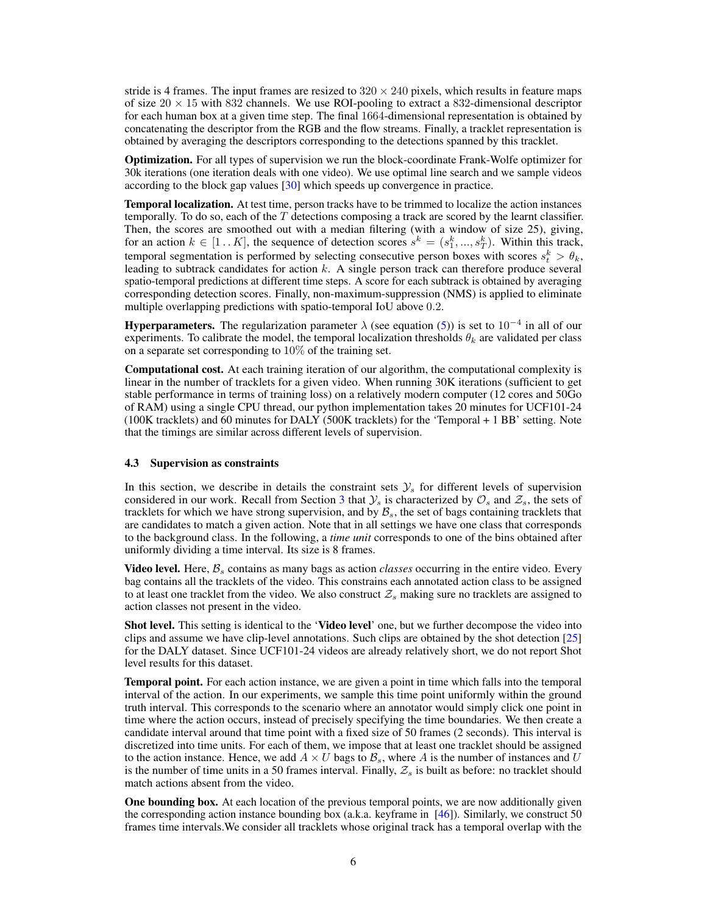stride is 4 frames. The input frames are resized to  $320 \times 240$  pixels, which results in feature maps of size  $20 \times 15$  with 832 channels. We use ROI-pooling to extract a 832-dimensional descriptor for each human box at a given time step. The final 1664-dimensional representation is obtained by concatenating the descriptor from the RGB and the flow streams. Finally, a tracklet representation is obtained by averaging the descriptors corresponding to the detections spanned by this tracklet.

Optimization. For all types of supervision we run the block-coordinate Frank-Wolfe optimizer for 30k iterations (one iteration deals with one video). We use optimal line search and we sample videos according to the block gap values [30] which speeds up convergence in practice.

Temporal localization. At test time, person tracks have to be trimmed to localize the action instances temporally. To do so, each of the  $T$  detections composing a track are scored by the learnt classifier. Then, the scores are smoothed out with a median filtering (with a window of size 25), giving, for an action  $k \in [1..K]$ , the sequence of detection scores  $s^k = (s_1^k, ..., s_T^k)$ . Within this track, temporal segmentation is performed by selecting consecutive person boxes with scores  $s_t^k > \theta_k$ , leading to subtrack candidates for action k. A single person track can therefore produce several spatio-temporal predictions at different time steps. A score for each subtrack is obtained by averaging corresponding detection scores. Finally, non-maximum-suppression (NMS) is applied to eliminate multiple overlapping predictions with spatio-temporal IoU above 0.2.

**Hyperparameters.** The regularization parameter  $\lambda$  (see equation (5)) is set to 10<sup>-4</sup> in all of our experiments. To calibrate the model, the temporal localization thresholds  $\theta_k$  are validated per class on a separate set corresponding to  $10\%$  of the training set.

Computational cost. At each training iteration of our algorithm, the computational complexity is linear in the number of tracklets for a given video. When running 30K iterations (sufficient to get stable performance in terms of training loss) on a relatively modern computer (12 cores and 50Go of RAM) using a single CPU thread, our python implementation takes 20 minutes for UCF101-24 (100K tracklets) and 60 minutes for DALY (500K tracklets) for the 'Temporal + 1 BB' setting. Note that the timings are similar across different levels of supervision.

#### 4.3 Supervision as constraints

In this section, we describe in details the constraint sets  $\mathcal{Y}_s$  for different levels of supervision considered in our work. Recall from Section 3 that  $\mathcal{Y}_s$  is characterized by  $\mathcal{O}_s$  and  $\mathcal{Z}_s$ , the sets of tracklets for which we have strong supervision, and by  $B_s$ , the set of bags containing tracklets that are candidates to match a given action. Note that in all settings we have one class that corresponds to the background class. In the following, a *time unit* corresponds to one of the bins obtained after uniformly dividing a time interval. Its size is 8 frames.

**Video level.** Here,  $\mathcal{B}_s$  contains as many bags as action *classes* occurring in the entire video. Every bag contains all the tracklets of the video. This constrains each annotated action class to be assigned to at least one tracklet from the video. We also construct  $\mathcal{Z}_s$  making sure no tracklets are assigned to action classes not present in the video.

**Shot level.** This setting is identical to the **'Video level'** one, but we further decompose the video into clips and assume we have clip-level annotations. Such clips are obtained by the shot detection [25] for the DALY dataset. Since UCF101-24 videos are already relatively short, we do not report Shot level results for this dataset.

Temporal point. For each action instance, we are given a point in time which falls into the temporal interval of the action. In our experiments, we sample this time point uniformly within the ground truth interval. This corresponds to the scenario where an annotator would simply click one point in time where the action occurs, instead of precisely specifying the time boundaries. We then create a candidate interval around that time point with a fixed size of 50 frames (2 seconds). This interval is discretized into time units. For each of them, we impose that at least one tracklet should be assigned to the action instance. Hence, we add  $A \times U$  bags to  $B_s$ , where A is the number of instances and U is the number of time units in a 50 frames interval. Finally,  $Z_s$  is built as before: no tracklet should match actions absent from the video.

One bounding box. At each location of the previous temporal points, we are now additionally given the corresponding action instance bounding box (a.k.a. keyframe in [46]). Similarly, we construct 50 frames time intervals.We consider all tracklets whose original track has a temporal overlap with the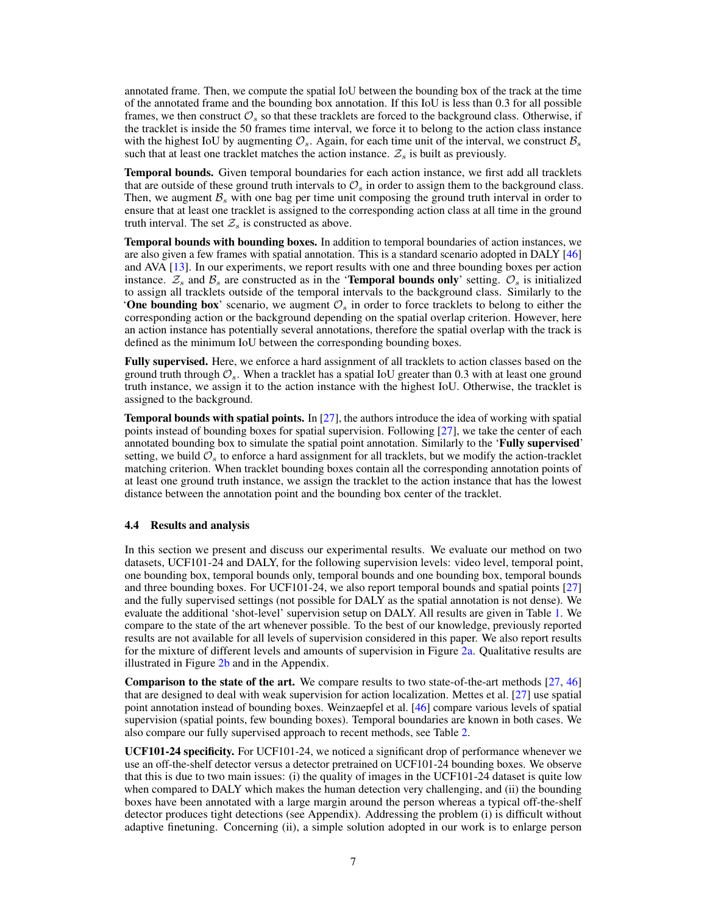annotated frame. Then, we compute the spatial IoU between the bounding box of the track at the time of the annotated frame and the bounding box annotation. If this IoU is less than 0.3 for all possible frames, we then construct  $\mathcal{O}_s$  so that these tracklets are forced to the background class. Otherwise, if the tracklet is inside the 50 frames time interval, we force it to belong to the action class instance with the highest IoU by augmenting  $\mathcal{O}_s$ . Again, for each time unit of the interval, we construct  $\mathcal{B}_s$ such that at least one tracklet matches the action instance.  $\mathcal{Z}_s$  is built as previously.

Temporal bounds. Given temporal boundaries for each action instance, we first add all tracklets that are outside of these ground truth intervals to  $\mathcal{O}_s$  in order to assign them to the background class. Then, we augment  $\mathcal{B}_s$  with one bag per time unit composing the ground truth interval in order to ensure that at least one tracklet is assigned to the corresponding action class at all time in the ground truth interval. The set  $\mathcal{Z}_s$  is constructed as above.

Temporal bounds with bounding boxes. In addition to temporal boundaries of action instances, we are also given a few frames with spatial annotation. This is a standard scenario adopted in DALY [46] and AVA [13]. In our experiments, we report results with one and three bounding boxes per action instance.  $\mathcal{Z}_s$  and  $\mathcal{B}_s$  are constructed as in the 'Temporal bounds only' setting.  $\mathcal{O}_s$  is initialized to assign all tracklets outside of the temporal intervals to the background class. Similarly to the 'One bounding box' scenario, we augment  $\mathcal{O}_s$  in order to force tracklets to belong to either the corresponding action or the background depending on the spatial overlap criterion. However, here an action instance has potentially several annotations, therefore the spatial overlap with the track is defined as the minimum IoU between the corresponding bounding boxes.

Fully supervised. Here, we enforce a hard assignment of all tracklets to action classes based on the ground truth through  $\mathcal{O}_s$ . When a tracklet has a spatial IoU greater than 0.3 with at least one ground truth instance, we assign it to the action instance with the highest IoU. Otherwise, the tracklet is assigned to the background.

Temporal bounds with spatial points. In [27], the authors introduce the idea of working with spatial points instead of bounding boxes for spatial supervision. Following [27], we take the center of each annotated bounding box to simulate the spatial point annotation. Similarly to the 'Fully supervised' setting, we build  $\mathcal{O}_s$  to enforce a hard assignment for all tracklets, but we modify the action-tracklet matching criterion. When tracklet bounding boxes contain all the corresponding annotation points of at least one ground truth instance, we assign the tracklet to the action instance that has the lowest distance between the annotation point and the bounding box center of the tracklet.

#### 4.4 Results and analysis

In this section we present and discuss our experimental results. We evaluate our method on two datasets, UCF101-24 and DALY, for the following supervision levels: video level, temporal point, one bounding box, temporal bounds only, temporal bounds and one bounding box, temporal bounds and three bounding boxes. For UCF101-24, we also report temporal bounds and spatial points [27] and the fully supervised settings (not possible for DALY as the spatial annotation is not dense). We evaluate the additional 'shot-level' supervision setup on DALY. All results are given in Table 1. We compare to the state of the art whenever possible. To the best of our knowledge, previously reported results are not available for all levels of supervision considered in this paper. We also report results for the mixture of different levels and amounts of supervision in Figure 2a. Qualitative results are illustrated in Figure 2b and in the Appendix.

**Comparison to the state of the art.** We compare results to two state-of-the-art methods  $[27, 46]$ that are designed to deal with weak supervision for action localization. Mettes et al. [27] use spatial point annotation instead of bounding boxes. Weinzaepfel et al. [46] compare various levels of spatial supervision (spatial points, few bounding boxes). Temporal boundaries are known in both cases. We also compare our fully supervised approach to recent methods, see Table 2.

UCF101-24 specificity. For UCF101-24, we noticed a significant drop of performance whenever we use an off-the-shelf detector versus a detector pretrained on UCF101-24 bounding boxes. We observe that this is due to two main issues: (i) the quality of images in the UCF101-24 dataset is quite low when compared to DALY which makes the human detection very challenging, and (ii) the bounding boxes have been annotated with a large margin around the person whereas a typical off-the-shelf detector produces tight detections (see Appendix). Addressing the problem (i) is difficult without adaptive finetuning. Concerning (ii), a simple solution adopted in our work is to enlarge person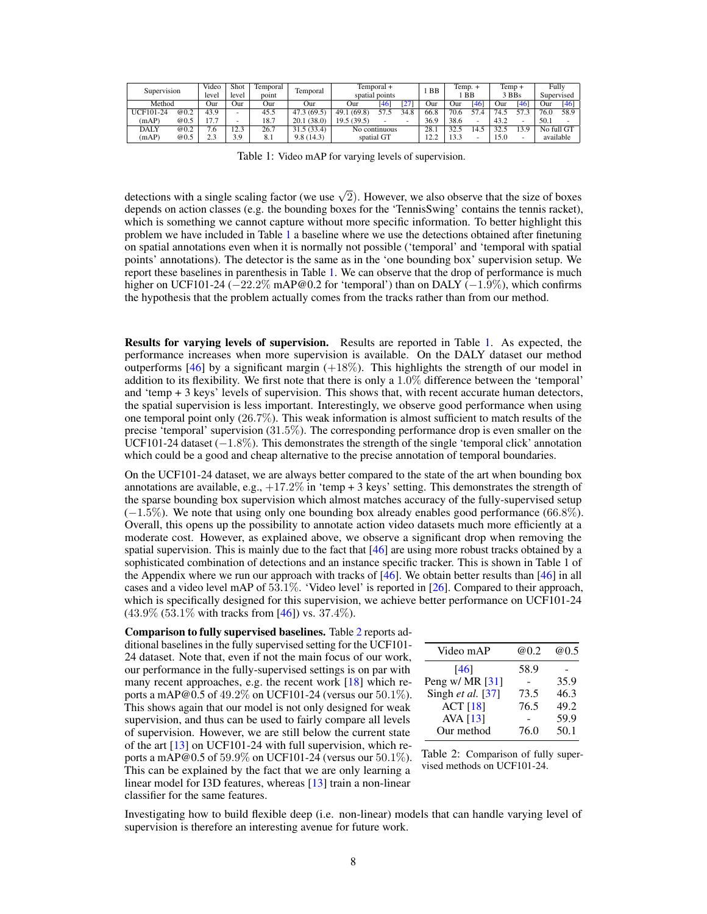| Supervision |      | Video<br>leve! | Shot<br>level | Femporal<br>point | Temporal    | Temporal +<br>spatial points |      | <b>BB</b> | Temp. +<br>BB |      | Temp +<br>3 BBs |      | Fully<br>Supervised |      |        |
|-------------|------|----------------|---------------|-------------------|-------------|------------------------------|------|-----------|---------------|------|-----------------|------|---------------------|------|--------|
| Method      |      | Our            | Jur           | Jur               | Our         | Jur                          | [46  | 27        | Jur           | Our  | [46]            | Jur  | 146                 | Jur  | $[46]$ |
| UCF101-24   | @0.2 | 43.9           | $\sim$        | 45.5              | 47.3 (69.5) | (69.8)<br>49.1               | 57.5 | 34.8      | 66.8          | 70.6 | 57.4            | 74.5 |                     |      | 58.9   |
| (mAP)       | @0.5 | 17.7           | ۰             | 18.7              | 20.1 (38.0) | 19.5(39.5)                   |      |           | 36.9          | 38.6 | ۰               | 43.2 |                     | 50.1 |        |
| DALY        | @0.2 | 7.6            | 12.3          | 26.7              | 31.5(33.4)  | No continuous                |      | 28.1      | 32.5          | 4.5  |                 |      | No full GT          |      |        |
| (mAP)       | @0.5 | 2.3            | 3.9           | 8.1               | 9.8(14.3)   | spatial GT                   |      | 22<br>.   | 13.3          |      | 15.0            |      | available           |      |        |

Table 1: Video mAP for varying levels of supervision.

detections with a single scaling factor (we use  $\sqrt{2}$ ). However, we also observe that the size of boxes depends on action classes (e.g. the bounding boxes for the 'TennisSwing' contains the tennis racket), which is something we cannot capture without more specific information. To better highlight this problem we have included in Table 1 a baseline where we use the detections obtained after finetuning on spatial annotations even when it is normally not possible ('temporal' and 'temporal with spatial points' annotations). The detector is the same as in the 'one bounding box' supervision setup. We report these baselines in parenthesis in Table 1. We can observe that the drop of performance is much higher on UCF101-24 (−22.2% mAP@0.2 for 'temporal') than on DALY (−1.9%), which confirms the hypothesis that the problem actually comes from the tracks rather than from our method.

Results for varying levels of supervision. Results are reported in Table 1. As expected, the performance increases when more supervision is available. On the DALY dataset our method outperforms  $[46]$  by a significant margin  $(+18\%)$ . This highlights the strength of our model in addition to its flexibility. We first note that there is only a 1.0% difference between the 'temporal' and 'temp + 3 keys' levels of supervision. This shows that, with recent accurate human detectors, the spatial supervision is less important. Interestingly, we observe good performance when using one temporal point only (26.7%). This weak information is almost sufficient to match results of the precise 'temporal' supervision (31.5%). The corresponding performance drop is even smaller on the UCF101-24 dataset  $(-1.8\%)$ . This demonstrates the strength of the single 'temporal click' annotation which could be a good and cheap alternative to the precise annotation of temporal boundaries.

On the UCF101-24 dataset, we are always better compared to the state of the art when bounding box annotations are available, e.g.,  $+17.2\%$  in 'temp + 3 keys' setting. This demonstrates the strength of the sparse bounding box supervision which almost matches accuracy of the fully-supervised setup (−1.5%). We note that using only one bounding box already enables good performance (66.8%). Overall, this opens up the possibility to annotate action video datasets much more efficiently at a moderate cost. However, as explained above, we observe a significant drop when removing the spatial supervision. This is mainly due to the fact that  $[46]$  are using more robust tracks obtained by a sophisticated combination of detections and an instance specific tracker. This is shown in Table 1 of the Appendix where we run our approach with tracks of  $[46]$ . We obtain better results than  $[46]$  in all cases and a video level mAP of 53.1%. 'Video level' is reported in [26]. Compared to their approach, which is specifically designed for this supervision, we achieve better performance on UCF101-24  $(43.9\% (53.1\% with tracks from [46]) vs. 37.4\%).$ 

Comparison to fully supervised baselines. Table 2 reports additional baselines in the fully supervised setting for the UCF101- 24 dataset. Note that, even if not the main focus of our work, our performance in the fully-supervised settings is on par with many recent approaches, e.g. the recent work [18] which reports a mAP@0.5 of  $49.2\%$  on UCF101-24 (versus our  $50.1\%$ ). This shows again that our model is not only designed for weak supervision, and thus can be used to fairly compare all levels of supervision. However, we are still below the current state of the art [13] on UCF101-24 with full supervision, which reports a mAP@0.5 of  $59.9\%$  on UCF101-24 (versus our  $50.1\%$ ). This can be explained by the fact that we are only learning a linear model for I3D features, whereas [13] train a non-linear classifier for the same features.

| Video mAP           | @0.2 | <b>@0.5</b> |
|---------------------|------|-------------|
| [46]                | 58.9 |             |
| Peng w/ MR $[31]$   |      | 35.9        |
| Singh et al. $[37]$ | 73.5 | 46.3        |
| <b>ACT</b> [18]     | 76.5 | 49.2        |
| <b>AVA</b> [13]     |      | 59.9        |
| Our method          | 76.0 | 50.1        |
|                     |      |             |

Table 2: Comparison of fully supervised methods on UCF101-24.

Investigating how to build flexible deep (i.e. non-linear) models that can handle varying level of supervision is therefore an interesting avenue for future work.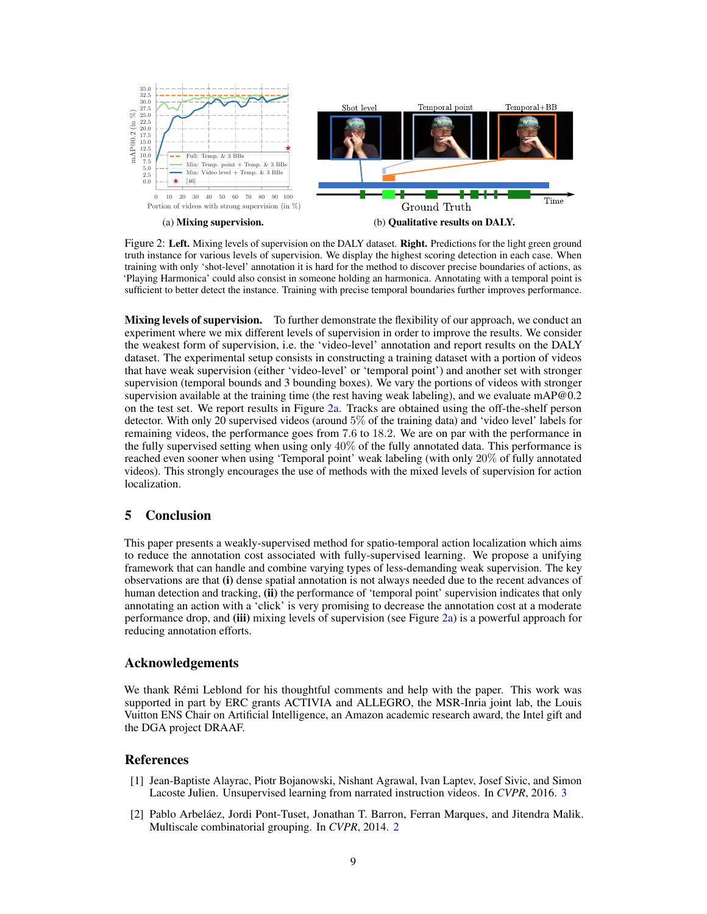

Figure 2: Left. Mixing levels of supervision on the DALY dataset. Right. Predictions for the light green ground truth instance for various levels of supervision. We display the highest scoring detection in each case. When training with only 'shot-level' annotation it is hard for the method to discover precise boundaries of actions, as 'Playing Harmonica' could also consist in someone holding an harmonica. Annotating with a temporal point is sufficient to better detect the instance. Training with precise temporal boundaries further improves performance.

**Mixing levels of supervision.** To further demonstrate the flexibility of our approach, we conduct an experiment where we mix different levels of supervision in order to improve the results. We consider the weakest form of supervision, i.e. the 'video-level' annotation and report results on the DALY dataset. The experimental setup consists in constructing a training dataset with a portion of videos that have weak supervision (either 'video-level' or 'temporal point') and another set with stronger supervision (temporal bounds and 3 bounding boxes). We vary the portions of videos with stronger supervision available at the training time (the rest having weak labeling), and we evaluate mAP $@0.2$ on the test set. We report results in Figure 2a. Tracks are obtained using the off-the-shelf person detector. With only 20 supervised videos (around 5% of the training data) and 'video level' labels for remaining videos, the performance goes from 7.6 to 18.2. We are on par with the performance in the fully supervised setting when using only 40% of the fully annotated data. This performance is reached even sooner when using 'Temporal point' weak labeling (with only 20% of fully annotated videos). This strongly encourages the use of methods with the mixed levels of supervision for action localization.

# 5 Conclusion

This paper presents a weakly-supervised method for spatio-temporal action localization which aims to reduce the annotation cost associated with fully-supervised learning. We propose a unifying framework that can handle and combine varying types of less-demanding weak supervision. The key observations are that (i) dense spatial annotation is not always needed due to the recent advances of human detection and tracking, (ii) the performance of 'temporal point' supervision indicates that only annotating an action with a 'click' is very promising to decrease the annotation cost at a moderate performance drop, and (iii) mixing levels of supervision (see Figure 2a) is a powerful approach for reducing annotation efforts.

## Acknowledgements

We thank Rémi Leblond for his thoughtful comments and help with the paper. This work was supported in part by ERC grants ACTIVIA and ALLEGRO, the MSR-Inria joint lab, the Louis Vuitton ENS Chair on Artificial Intelligence, an Amazon academic research award, the Intel gift and the DGA project DRAAF.

#### References

- [1] Jean-Baptiste Alayrac, Piotr Bojanowski, Nishant Agrawal, Ivan Laptev, Josef Sivic, and Simon Lacoste Julien. Unsupervised learning from narrated instruction videos. In *CVPR*, 2016. 3
- [2] Pablo Arbeláez, Jordi Pont-Tuset, Jonathan T. Barron, Ferran Marques, and Jitendra Malik. Multiscale combinatorial grouping. In *CVPR*, 2014. 2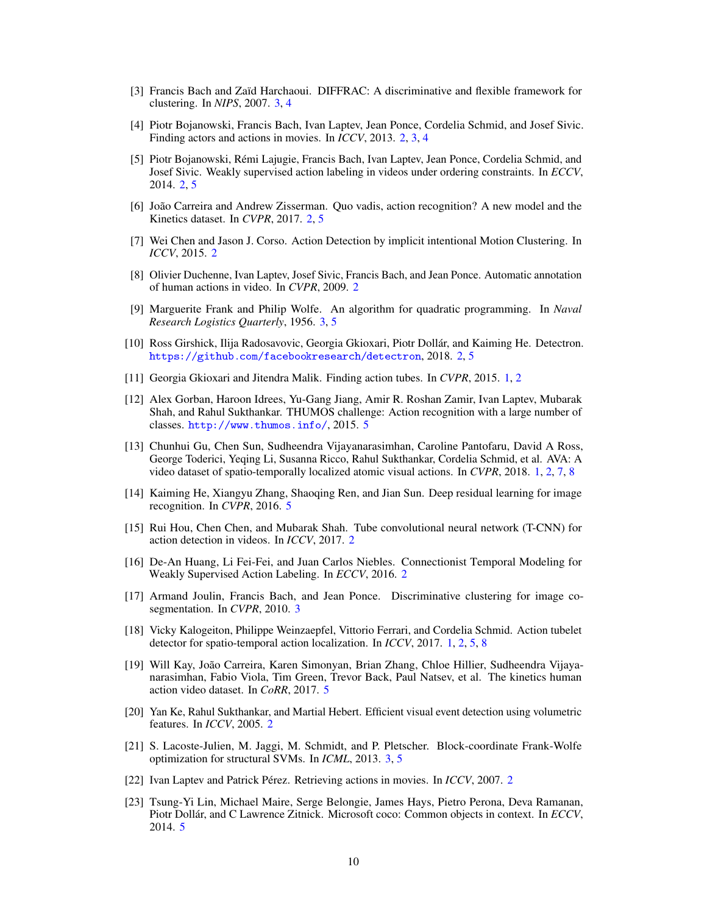- [3] Francis Bach and Zaïd Harchaoui. DIFFRAC: A discriminative and flexible framework for clustering. In *NIPS*, 2007. 3, 4
- [4] Piotr Bojanowski, Francis Bach, Ivan Laptev, Jean Ponce, Cordelia Schmid, and Josef Sivic. Finding actors and actions in movies. In *ICCV*, 2013. 2, 3, 4
- [5] Piotr Bojanowski, Rémi Lajugie, Francis Bach, Ivan Laptev, Jean Ponce, Cordelia Schmid, and Josef Sivic. Weakly supervised action labeling in videos under ordering constraints. In *ECCV*, 2014. 2, 5
- [6] João Carreira and Andrew Zisserman. Quo vadis, action recognition? A new model and the Kinetics dataset. In *CVPR*, 2017. 2, 5
- [7] Wei Chen and Jason J. Corso. Action Detection by implicit intentional Motion Clustering. In *ICCV*, 2015. 2
- [8] Olivier Duchenne, Ivan Laptev, Josef Sivic, Francis Bach, and Jean Ponce. Automatic annotation of human actions in video. In *CVPR*, 2009. 2
- [9] Marguerite Frank and Philip Wolfe. An algorithm for quadratic programming. In *Naval Research Logistics Quarterly*, 1956. 3, 5
- [10] Ross Girshick, Ilija Radosavovic, Georgia Gkioxari, Piotr Dollár, and Kaiming He. Detectron. <https://github.com/facebookresearch/detectron>, 2018. 2, 5
- [11] Georgia Gkioxari and Jitendra Malik. Finding action tubes. In *CVPR*, 2015. 1, 2
- [12] Alex Gorban, Haroon Idrees, Yu-Gang Jiang, Amir R. Roshan Zamir, Ivan Laptev, Mubarak Shah, and Rahul Sukthankar. THUMOS challenge: Action recognition with a large number of classes. <http://www.thumos.info/>, 2015. 5
- [13] Chunhui Gu, Chen Sun, Sudheendra Vijayanarasimhan, Caroline Pantofaru, David A Ross, George Toderici, Yeqing Li, Susanna Ricco, Rahul Sukthankar, Cordelia Schmid, et al. AVA: A video dataset of spatio-temporally localized atomic visual actions. In *CVPR*, 2018. 1, 2, 7, 8
- [14] Kaiming He, Xiangyu Zhang, Shaoqing Ren, and Jian Sun. Deep residual learning for image recognition. In *CVPR*, 2016. 5
- [15] Rui Hou, Chen Chen, and Mubarak Shah. Tube convolutional neural network (T-CNN) for action detection in videos. In *ICCV*, 2017. 2
- [16] De-An Huang, Li Fei-Fei, and Juan Carlos Niebles. Connectionist Temporal Modeling for Weakly Supervised Action Labeling. In *ECCV*, 2016. 2
- [17] Armand Joulin, Francis Bach, and Jean Ponce. Discriminative clustering for image cosegmentation. In *CVPR*, 2010. 3
- [18] Vicky Kalogeiton, Philippe Weinzaepfel, Vittorio Ferrari, and Cordelia Schmid. Action tubelet detector for spatio-temporal action localization. In *ICCV*, 2017. 1, 2, 5, 8
- [19] Will Kay, João Carreira, Karen Simonyan, Brian Zhang, Chloe Hillier, Sudheendra Vijayanarasimhan, Fabio Viola, Tim Green, Trevor Back, Paul Natsev, et al. The kinetics human action video dataset. In *CoRR*, 2017. 5
- [20] Yan Ke, Rahul Sukthankar, and Martial Hebert. Efficient visual event detection using volumetric features. In *ICCV*, 2005. 2
- [21] S. Lacoste-Julien, M. Jaggi, M. Schmidt, and P. Pletscher. Block-coordinate Frank-Wolfe optimization for structural SVMs. In *ICML*, 2013. 3, 5
- [22] Ivan Laptev and Patrick Pérez. Retrieving actions in movies. In *ICCV*, 2007. 2
- [23] Tsung-Yi Lin, Michael Maire, Serge Belongie, James Hays, Pietro Perona, Deva Ramanan, Piotr Dollár, and C Lawrence Zitnick. Microsoft coco: Common objects in context. In *ECCV*, 2014. 5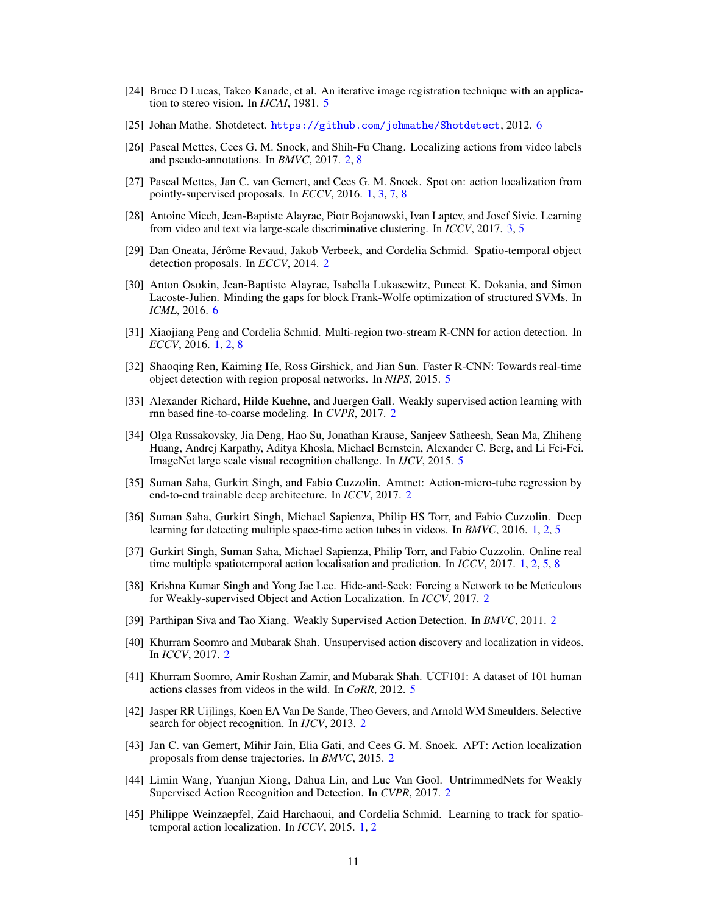- [24] Bruce D Lucas, Takeo Kanade, et al. An iterative image registration technique with an application to stereo vision. In *IJCAI*, 1981. 5
- [25] Johan Mathe. Shotdetect. <https://github.com/johmathe/Shotdetect>, 2012. 6
- [26] Pascal Mettes, Cees G. M. Snoek, and Shih-Fu Chang. Localizing actions from video labels and pseudo-annotations. In *BMVC*, 2017. 2, 8
- [27] Pascal Mettes, Jan C. van Gemert, and Cees G. M. Snoek. Spot on: action localization from pointly-supervised proposals. In *ECCV*, 2016. 1, 3, 7, 8
- [28] Antoine Miech, Jean-Baptiste Alayrac, Piotr Bojanowski, Ivan Laptev, and Josef Sivic. Learning from video and text via large-scale discriminative clustering. In *ICCV*, 2017. 3, 5
- [29] Dan Oneata, Jérôme Revaud, Jakob Verbeek, and Cordelia Schmid. Spatio-temporal object detection proposals. In *ECCV*, 2014. 2
- [30] Anton Osokin, Jean-Baptiste Alayrac, Isabella Lukasewitz, Puneet K. Dokania, and Simon Lacoste-Julien. Minding the gaps for block Frank-Wolfe optimization of structured SVMs. In *ICML*, 2016. 6
- [31] Xiaojiang Peng and Cordelia Schmid. Multi-region two-stream R-CNN for action detection. In *ECCV*, 2016. 1, 2, 8
- [32] Shaoqing Ren, Kaiming He, Ross Girshick, and Jian Sun. Faster R-CNN: Towards real-time object detection with region proposal networks. In *NIPS*, 2015. 5
- [33] Alexander Richard, Hilde Kuehne, and Juergen Gall. Weakly supervised action learning with rnn based fine-to-coarse modeling. In *CVPR*, 2017. 2
- [34] Olga Russakovsky, Jia Deng, Hao Su, Jonathan Krause, Sanjeev Satheesh, Sean Ma, Zhiheng Huang, Andrej Karpathy, Aditya Khosla, Michael Bernstein, Alexander C. Berg, and Li Fei-Fei. ImageNet large scale visual recognition challenge. In *IJCV*, 2015. 5
- [35] Suman Saha, Gurkirt Singh, and Fabio Cuzzolin. Amtnet: Action-micro-tube regression by end-to-end trainable deep architecture. In *ICCV*, 2017. 2
- [36] Suman Saha, Gurkirt Singh, Michael Sapienza, Philip HS Torr, and Fabio Cuzzolin. Deep learning for detecting multiple space-time action tubes in videos. In *BMVC*, 2016. 1, 2, 5
- [37] Gurkirt Singh, Suman Saha, Michael Sapienza, Philip Torr, and Fabio Cuzzolin. Online real time multiple spatiotemporal action localisation and prediction. In *ICCV*, 2017. 1, 2, 5, 8
- [38] Krishna Kumar Singh and Yong Jae Lee. Hide-and-Seek: Forcing a Network to be Meticulous for Weakly-supervised Object and Action Localization. In *ICCV*, 2017. 2
- [39] Parthipan Siva and Tao Xiang. Weakly Supervised Action Detection. In *BMVC*, 2011. 2
- [40] Khurram Soomro and Mubarak Shah. Unsupervised action discovery and localization in videos. In *ICCV*, 2017. 2
- [41] Khurram Soomro, Amir Roshan Zamir, and Mubarak Shah. UCF101: A dataset of 101 human actions classes from videos in the wild. In *CoRR*, 2012. 5
- [42] Jasper RR Uijlings, Koen EA Van De Sande, Theo Gevers, and Arnold WM Smeulders. Selective search for object recognition. In *IJCV*, 2013. 2
- [43] Jan C. van Gemert, Mihir Jain, Elia Gati, and Cees G. M. Snoek. APT: Action localization proposals from dense trajectories. In *BMVC*, 2015. 2
- [44] Limin Wang, Yuanjun Xiong, Dahua Lin, and Luc Van Gool. UntrimmedNets for Weakly Supervised Action Recognition and Detection. In *CVPR*, 2017. 2
- [45] Philippe Weinzaepfel, Zaid Harchaoui, and Cordelia Schmid. Learning to track for spatiotemporal action localization. In *ICCV*, 2015. 1, 2